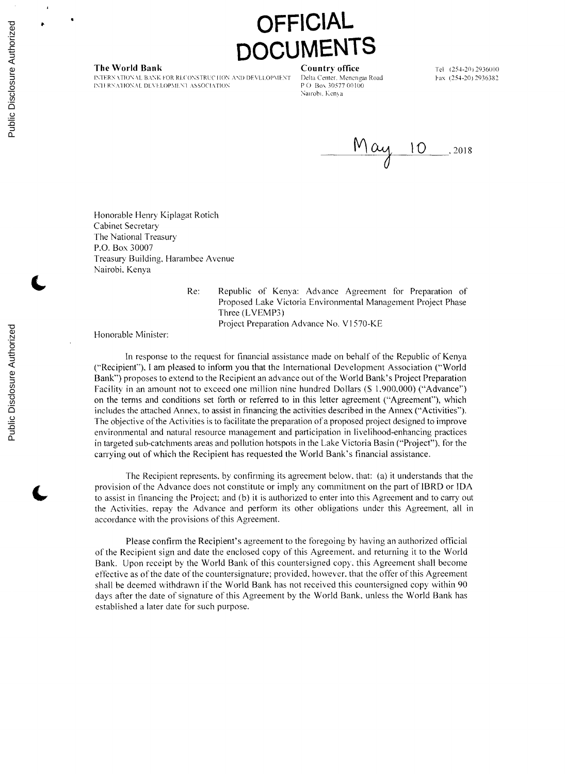## **OFFICIAL CUMENTS**

**The World Bank Country office** Tel (254-20) 2936000<br>INTERNATIONAL BANK FOR RECONSTRUCTION AND DEVELOPMENT Delta Center, Menengai Road **Fax** (254-20) 2936382 INTERN ATIONAL BANK FOR RLCONSTRUCTION AND DEVLLOPMENT Delta Center<sub>-</sub> Menenga<br>IN THENATIONAL DEVELOPMENT ASSOCIATION **PO-Box 30577 00100 IN11 RNATIONAL DEVELOPMENT ASSOCIATION** 

Nairobi. Kenya



Honorable Henry Kiplagat Rotich Cabinet Secretary The National Treasury P.O. Box **30007** Treasury Building, Harambee Avenue Nairobi. Kenya

Re: Republic of Kenya: Advance Agreement for Preparation of Proposed Lake Victoria Environmental Management Project Phase Three (LVEMP3) Project Preparation Advance No. **VI 570-KE**

Honorable Minister:

In response to the request for financial assistance made on behalf of the Republic of Kenya ("Recipient"), **I** am pleased to inform you that the International Development Association ("World Bank") proposes to extend to the Recipient an advance out of the World Bank's Project Preparation Facility in an amount not to exceed one million nine hundred Dollars **(S 1.900,000)** ("Advance") on the terms and conditions set forth or referred to in this letter agreement ("Agreement"), which includes the attached Annex. to assist in financing the activities described in the Annex ("Activities"). The objective of the Activities is to facilitate the preparation of a proposed project designed to improve environmental and natural resource management and participation in livelihood-enhancing practices in targeted sub-catchments areas and pollution hotspots in the Lake Victoria Basin ("Project"), for the carrying out of which the Recipient has requested the World Bank's financial assistance.

The Recipient represents, **by** confirming its agreement below, that: (a) it understands that the provision of the Advance does not constitute or imply any commitment on the part of IBRD or **IDA** to assist in financing the Project; and **(b)** it is authorized to enter into this Agreement and to carry out the Activities. repay the Advance and perform its other obligations under this Agreement, all in accordance with the provisions of this Agreement.

Please confirm the Recipient's agreement to the foregoing **by** having an authorized official of the Recipient sign and date the enclosed copy of this Agreement. and returning it to the World Bank. Upon receipt **by** the World Bank of this countersigned copy, this Agreement shall become effective as of the date of the countersignature; provided, however. that the offer of this Agreement shall be deemed withdrawn if the World Bank has not received this countersigned copy within **90** days after the date of signature of this Agreement **by** the World Bank, unless the World Bank has established a later date for such purpose.